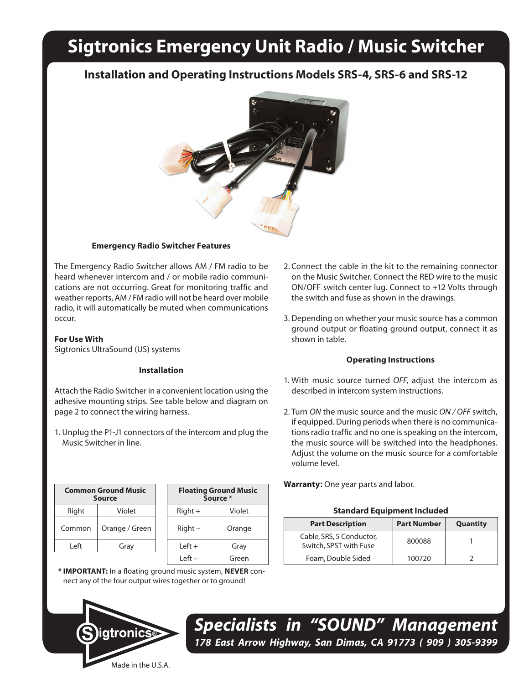## **Sigtronics Emergency Unit Radio / Music Switcher**

### **Installation and Operating Instructions Models SRS-4, SRS-6 and SRS-12**



#### **Emergency Radio Switcher Features**

The Emergency Radio Switcher allows AM / FM radio to be heard whenever intercom and / or mobile radio communications are not occurring. Great for monitoring traffic and weather reports, AM / FM radio will not be heard over mobile radio, it will automatically be muted when communications occur.

#### **For Use With**

Sigtronics UltraSound (US) systems

#### **Installation**

Attach the Radio Switcher in a convenient location using the adhesive mounting strips. See table below and diagram on page 2 to connect the wiring harness.

1. Unplug the P1-J1 connectors of the intercom and plug the Music Switcher in line.

| <b>Common Ground Music</b><br><b>Source</b> |                | <b>Floating Ground Mus</b><br>Source * |        |
|---------------------------------------------|----------------|----------------------------------------|--------|
| Right                                       | Violet         | $Right +$                              | Violet |
| Common                                      | Orange / Green | $Right -$                              | Orange |
| l eft                                       | Gray           | $Left +$                               | Gray   |
|                                             |                |                                        |        |

| <b>Floating Ground Music</b><br>Source * |        |  |  |  |
|------------------------------------------|--------|--|--|--|
| $Right +$                                | Violet |  |  |  |
| Right –                                  | Orange |  |  |  |
| Left +                                   | Gray   |  |  |  |
| l eft –                                  | Green  |  |  |  |
|                                          |        |  |  |  |

**\* IMPORTANT:** In a floating ground music system, **NEVER** connect any of the four output wires together or to ground!



- 2. Connect the cable in the kit to the remaining connector on the Music Switcher. Connect the RED wire to the music ON/OFF switch center lug. Connect to +12 Volts through the switch and fuse as shown in the drawings.
- 3. Depending on whether your music source has a common ground output or floating ground output, connect it as shown in table.

#### **Operating Instructions**

- 1. With music source turned *OFF*, adjust the intercom as described in intercom system instructions.
- 2. Turn *ON* the music source and the music *ON / OFF* switch, if equipped. During periods when there is no communications radio traffic and no one is speaking on the intercom, the music source will be switched into the headphones. Adjust the volume on the music source for a comfortable volume level.

**Warranty:** One year parts and labor.

#### **Standard Equipment Included**

| <b>Part Description</b>                            | <b>Part Number</b> | Quantity |
|----------------------------------------------------|--------------------|----------|
| Cable, SRS, 5 Conductor,<br>Switch, SPST with Fuse | 800088             |          |
| Foam, Double Sided                                 | 100720             |          |

*Specialists in "SOUND" Management 178 East Arrow Highway, San Dimas, CA 91773 ( 909 ) 305-9399*